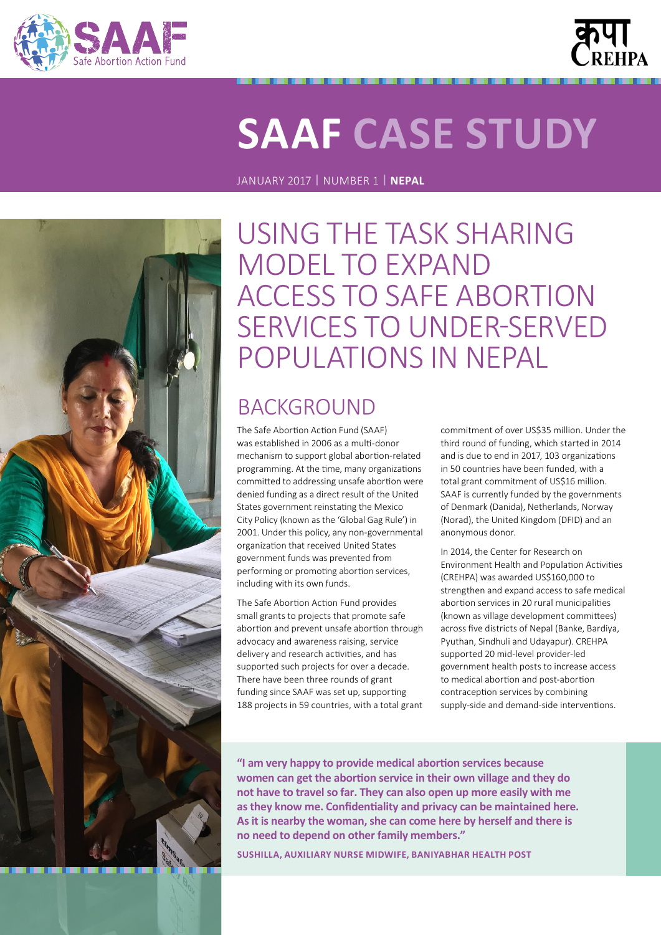



# **SAAF CASE STUDY**

JANUARY 2017 **|** NUMBER 1 **| NEPAL**



USING THE TASK SHARING MODEL TO EXPAND ACCESS TO SAFE ABORTION SERVICES TO UNDER‑SERVED POPULATIONS IN NEPAL

# **BACKGROUND**

The Safe Abortion Action Fund (SAAF) was established in 2006 as a multi‑donor mechanism to support global abortion‑related programming. At the time, many organizations committed to addressing unsafe abortion were denied funding as a direct result of the United States government reinstating the Mexico City Policy (known as the 'Global Gag Rule') in 2001. Under this policy, any non‑governmental organization that received United States government funds was prevented from performing or promoting abortion services, including with its own funds.

The Safe Abortion Action Fund provides small grants to projects that promote safe abortion and prevent unsafe abortion through advocacy and awareness raising, service delivery and research activities, and has supported such projects for over a decade. There have been three rounds of grant funding since SAAF was set up, supporting 188 projects in 59 countries, with a total grant commitment of over US\$35 million. Under the third round of funding, which started in 2014 and is due to end in 2017, 103 organizations in 50 countries have been funded, with a total grant commitment of US\$16 million. SAAF is currently funded by the governments of Denmark (Danida), Netherlands, Norway (Norad), the United Kingdom (DFID) and an anonymous donor.

In 2014, the Center for Research on Environment Health and Population Activities (CREHPA) was awarded US\$160,000 to strengthen and expand access to safe medical abortion services in 20 rural municipalities (known as village development committees) across five districts of Nepal (Banke, Bardiya, Pyuthan, Sindhuli and Udayapur). CREHPA supported 20 mid‑level provider‑led government health posts to increase access to medical abortion and post-abortion contraception services by combining supply-side and demand-side interventions.

**"I am very happy to provide medical abortion services because women can get the abortion service in their own village and they do not have to travel so far. They can also open up more easily with me as they know me. Confidentiality and privacy can be maintained here. As it is nearby the woman, she can come here by herself and there is no need to depend on other family members."** 

**SUSHILLA, AUXILIARY NURSE MIDWIFE, BANIYABHAR HEALTH POST**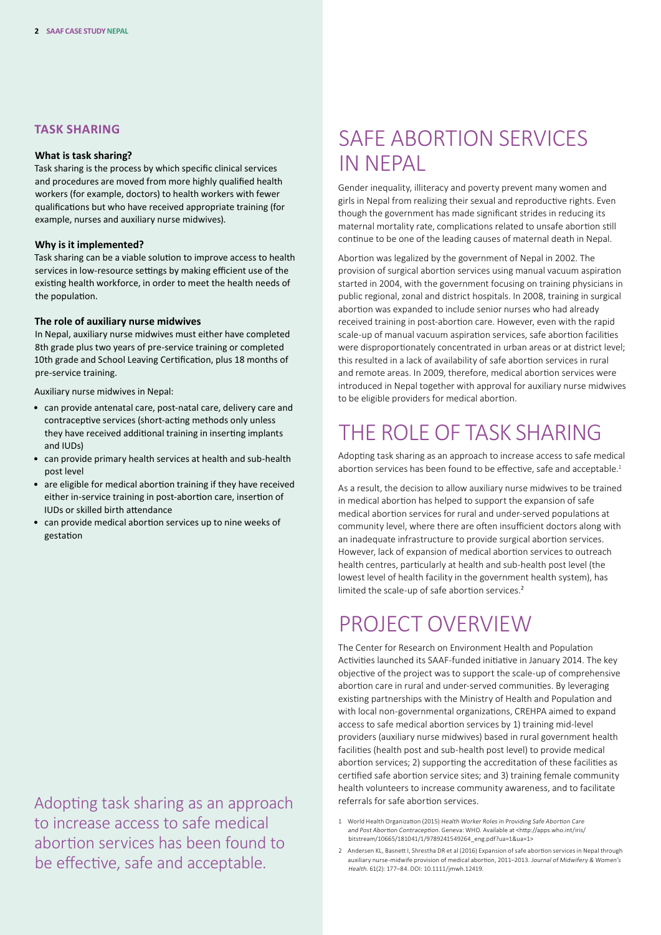#### **TASK SHARING**

#### **What is task sharing?**

Task sharing is the process by which specific clinical services and procedures are moved from more highly qualified health workers (for example, doctors) to health workers with fewer qualifications but who have received appropriate training (for example, nurses and auxiliary nurse midwives).

#### **Why is it implemented?**

Task sharing can be a viable solution to improve access to health services in low-resource settings by making efficient use of the existing health workforce, in order to meet the health needs of the population.

#### **The role of auxiliary nurse midwives**

In Nepal, auxiliary nurse midwives must either have completed 8th grade plus two years of pre‑service training or completed 10th grade and School Leaving Certification, plus 18 months of pre‑service training.

Auxiliary nurse midwives in Nepal:

- can provide antenatal care, post‑natal care, delivery care and contraceptive services (short‑acting methods only unless they have received additional training in inserting implants and IUDs)
- can provide primary health services at health and sub-health post level
- are eligible for medical abortion training if they have received either in‑service training in post‑abortion care, insertion of IUDs or skilled birth attendance
- can provide medical abortion services up to nine weeks of gestation

Adopting task sharing as an approach referrals for safe abortion services. to increase access to safe medical abortion services has been found to be effective, safe and acceptable.

### SAFE ABORTION SERVICES IN NEPAL

Gender inequality, illiteracy and poverty prevent many women and girls in Nepal from realizing their sexual and reproductive rights. Even though the government has made significant strides in reducing its maternal mortality rate, complications related to unsafe abortion still continue to be one of the leading causes of maternal death in Nepal.

Abortion was legalized by the government of Nepal in 2002. The provision of surgical abortion services using manual vacuum aspiration started in 2004, with the government focusing on training physicians in public regional, zonal and district hospitals. In 2008, training in surgical abortion was expanded to include senior nurses who had already received training in post‑abortion care. However, even with the rapid scale-up of manual vacuum aspiration services, safe abortion facilities were disproportionately concentrated in urban areas or at district level; this resulted in a lack of availability of safe abortion services in rural and remote areas. In 2009, therefore, medical abortion services were introduced in Nepal together with approval for auxiliary nurse midwives to be eligible providers for medical abortion.

### THE ROLE OF TASK SHARING

Adopting task sharing as an approach to increase access to safe medical abortion services has been found to be effective, safe and acceptable.<sup>1</sup>

As a result, the decision to allow auxiliary nurse midwives to be trained in medical abortion has helped to support the expansion of safe medical abortion services for rural and under‑served populations at community level, where there are often insufficient doctors along with an inadequate infrastructure to provide surgical abortion services. However, lack of expansion of medical abortion services to outreach health centres, particularly at health and sub‑health post level (the lowest level of health facility in the government health system), has limited the scale-up of safe abortion services.<sup>2</sup>

### PROJECT OVERVIEW

The Center for Research on Environment Health and Population Activities launched its SAAF-funded initiative in January 2014. The key objective of the project was to support the scale‑up of comprehensive abortion care in rural and under-served communities. By leveraging existing partnerships with the Ministry of Health and Population and with local non-governmental organizations, CREHPA aimed to expand access to safe medical abortion services by 1) training mid‑level providers (auxiliary nurse midwives) based in rural government health facilities (health post and sub-health post level) to provide medical abortion services; 2) supporting the accreditation of these facilities as certified safe abortion service sites; and 3) training female community health volunteers to increase community awareness, and to facilitate

- 1 World Health Organization (2015) Health Worker Roles in Providing Safe Abortion Care and Post Abortion Contraception. Geneva: WHO. Available at <[http://apps.who.int/iris/](http://apps.who.int/iris/bitstream/10665/181041/1/9789241549264_eng.pdf?ua=1&ua=1) [bitstream/10665/181041/1/9789241549264\\_eng.pdf?ua=1&ua=1](http://apps.who.int/iris/bitstream/10665/181041/1/9789241549264_eng.pdf?ua=1&ua=1)>
- 2 Andersen KL, Basnett I, Shrestha DR et al (2016) Expansion of safe abortion services in Nepal through auxiliary nurse‑midwife provision of medical abortion, 2011–2013. Journal of Midwifery & Women's Health. 61(2): 177–84. DOI: [10.1111/jmwh.12419](http://10.1111/jmwh.12419).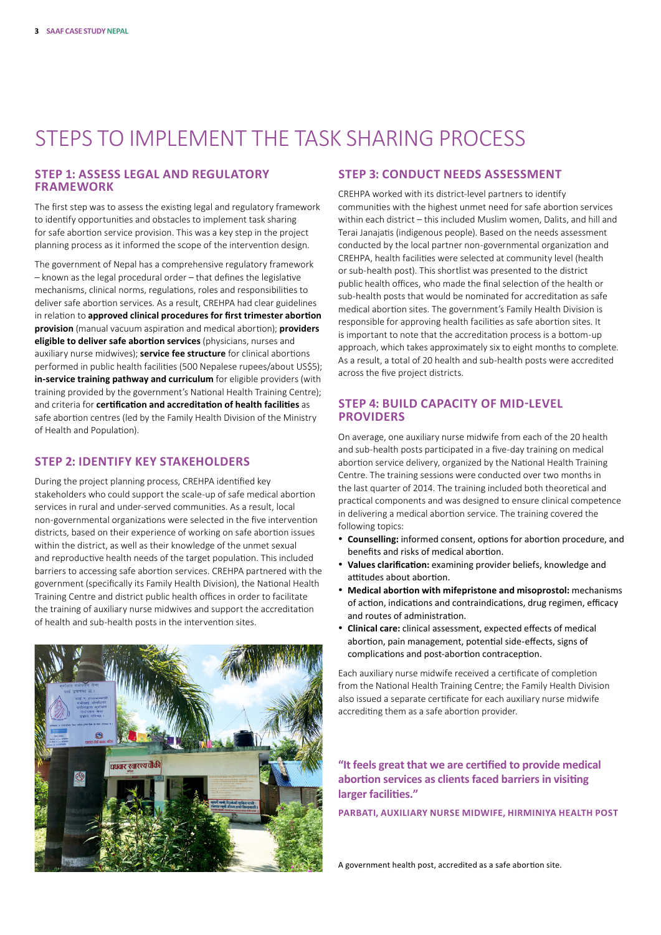# STEPS TO IMPLEMENT THE TASK SHARING PROCESS

#### **STEP 1: ASSESS LEGAL AND REGULATORY FRAMEWORK**

The first step was to assess the existing legal and regulatory framework to identify opportunities and obstacles to implement task sharing for safe abortion service provision. This was a key step in the project planning process as it informed the scope of the intervention design.

The government of Nepal has a comprehensive regulatory framework – known as the legal procedural order – that defines the legislative mechanisms, clinical norms, regulations, roles and responsibilities to deliver safe abortion services. As a result, CREHPA had clear guidelines in relation to **approved clinical procedures for first trimester abortion provision** (manual vacuum aspiration and medical abortion); **providers eligible to deliver safe abortion services** (physicians, nurses and auxiliary nurse midwives); **service fee structure** for clinical abortions performed in public health facilities (500 Nepalese rupees/about US\$5); in-service training pathway and curriculum for eligible providers (with training provided by the government's National Health Training Centre); and criteria for **certification and accreditation of health facilities** as safe abortion centres (led by the Family Health Division of the Ministry of Health and Population).

#### **STEP 2: IDENTIFY KEY STAKEHOLDERS**

During the project planning process, CREHPA identified key stakeholders who could support the scale‑up of safe medical abortion services in rural and under-served communities. As a result, local non‑governmental organizations were selected in the five intervention districts, based on their experience of working on safe abortion issues within the district, as well as their knowledge of the unmet sexual and reproductive health needs of the target population. This included barriers to accessing safe abortion services. CREHPA partnered with the government (specifically its Family Health Division), the National Health Training Centre and district public health offices in order to facilitate the training of auxiliary nurse midwives and support the accreditation of health and sub‑health posts in the intervention sites.



#### **STEP 3: CONDUCT NEEDS ASSESSMENT**

CREHPA worked with its district‑level partners to identify communities with the highest unmet need for safe abortion services within each district – this included Muslim women, Dalits, and hill and Terai Janajatis (indigenous people). Based on the needs assessment conducted by the local partner non‑governmental organization and CREHPA, health facilities were selected at community level (health or sub‑health post). This shortlist was presented to the district public health offices, who made the final selection of the health or sub-health posts that would be nominated for accreditation as safe medical abortion sites. The government's Family Health Division is responsible for approving health facilities as safe abortion sites. It is important to note that the accreditation process is a bottom-up approach, which takes approximately six to eight months to complete. As a result, a total of 20 health and sub-health posts were accredited across the five project districts.

#### **STEP 4: BUILD CAPACITY OF MID‑LEVEL PROVIDERS**

On average, one auxiliary nurse midwife from each of the 20 health and sub-health posts participated in a five-day training on medical abortion service delivery, organized by the National Health Training Centre. The training sessions were conducted over two months in the last quarter of 2014. The training included both theoretical and practical components and was designed to ensure clinical competence in delivering a medical abortion service. The training covered the following topics:

- • **Counselling:** informed consent, options for abortion procedure, and benefits and risks of medical abortion.
- • **Values clarification:** examining provider beliefs, knowledge and attitudes about abortion.
- • **Medical abortion with mifepristone and misoprostol:** mechanisms of action, indications and contraindications, drug regimen, efficacy and routes of administration.
- • **Clinical care:** clinical assessment, expected effects of medical abortion, pain management, potential side‑effects, signs of complications and post‑abortion contraception.

Each auxiliary nurse midwife received a certificate of completion from the National Health Training Centre; the Family Health Division also issued a separate certificate for each auxiliary nurse midwife accrediting them as a safe abortion provider.

**"It feels great that we are certified to provide medical abortion services as clients faced barriers in visiting larger facilities."** 

**PARBATI, AUXILIARY NURSE MIDWIFE, HIRMINIYA HEALTH POST**

A government health post, accredited as a safe abortion site.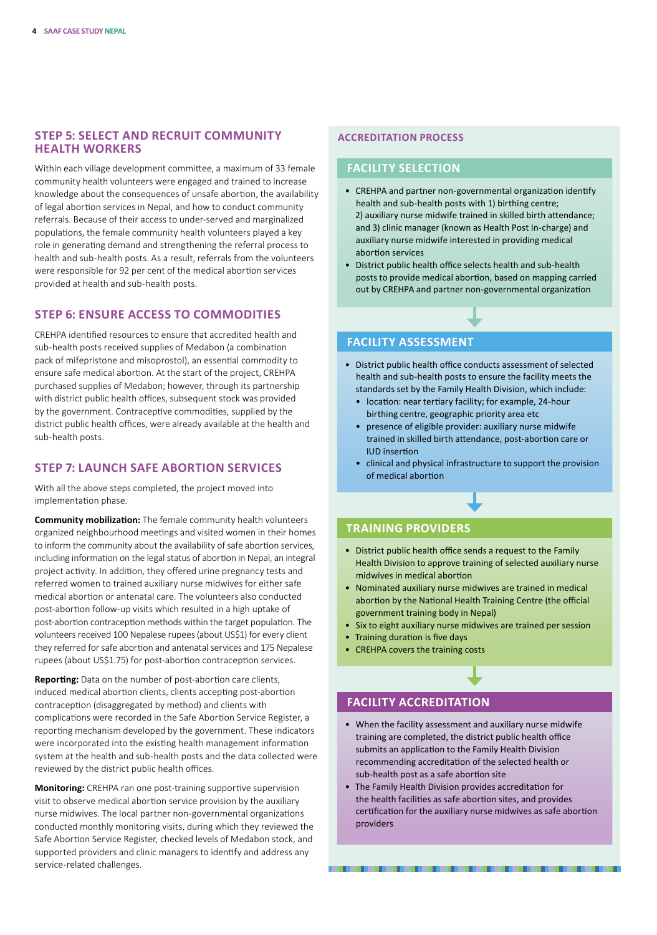#### **STEP 5: SELECT AND RECRUIT COMMUNITY HEALTH WORKERS**

Within each village development committee, a maximum of 33 female community health volunteers were engaged and trained to increase knowledge about the consequences of unsafe abortion, the availability of legal abortion services in Nepal, and how to conduct community referrals. Because of their access to under‑served and marginalized populations, the female community health volunteers played a key role in generating demand and strengthening the referral process to health and sub-health posts. As a result, referrals from the volunteers were responsible for 92 per cent of the medical abortion services provided at health and sub‑health posts.

#### **STEP 6: ENSURE ACCESS TO COMMODITIES**

CREHPA identified resources to ensure that accredited health and sub-health posts received supplies of Medabon (a combination pack of mifepristone and misoprostol), an essential commodity to ensure safe medical abortion. At the start of the project, CREHPA purchased supplies of Medabon; however, through its partnership with district public health offices, subsequent stock was provided by the government. Contraceptive commodities, supplied by the district public health offices, were already available at the health and sub‑health posts.

#### **STEP 7: LAUNCH SAFE ABORTION SERVICES**

With all the above steps completed, the project moved into implementation phase.

**Community mobilization:** The female community health volunteers organized neighbourhood meetings and visited women in their homes to inform the community about the availability of safe abortion services, including information on the legal status of abortion in Nepal, an integral project activity. In addition, they offered urine pregnancy tests and referred women to trained auxiliary nurse midwives for either safe medical abortion or antenatal care. The volunteers also conducted post-abortion follow-up visits which resulted in a high uptake of post‑abortion contraception methods within the target population. The volunteers received 100 Nepalese rupees (about US\$1) for every client they referred for safe abortion and antenatal services and 175 Nepalese rupees (about US\$1.75) for post-abortion contraception services.

**Reporting:** Data on the number of post‑abortion care clients, induced medical abortion clients, clients accepting post-abortion contraception (disaggregated by method) and clients with complications were recorded in the Safe Abortion Service Register, a reporting mechanism developed by the government. These indicators were incorporated into the existing health management information system at the health and sub-health posts and the data collected were reviewed by the district public health offices.

**Monitoring:** CREHPA ran one post-training supportive supervision visit to observe medical abortion service provision by the auxiliary nurse midwives. The local partner non‑governmental organizations conducted monthly monitoring visits, during which they reviewed the Safe Abortion Service Register, checked levels of Medabon stock, and supported providers and clinic managers to identify and address any service-related challenges.

#### **ACCREDITATION PROCESS**

#### **FACILITY SELECTION**

- CREHPA and partner non‑governmental organization identify health and sub-health posts with 1) birthing centre; 2) auxiliary nurse midwife trained in skilled birth attendance; and 3) clinic manager (known as Health Post In‑charge) and auxiliary nurse midwife interested in providing medical abortion services
- District public health office selects health and sub-health posts to provide medical abortion, based on mapping carried out by CREHPA and partner non‑governmental organization

#### **FACILITY ASSESSMENT**

- District public health office conducts assessment of selected health and sub‑health posts to ensure the facility meets the standards set by the Family Health Division, which include:
	- location: near tertiary facility; for example, 24‑hour birthing centre, geographic priority area etc
	- presence of eligible provider: auxiliary nurse midwife trained in skilled birth attendance, post‑abortion care or IUD insertion
	- clinical and physical infrastructure to support the provision of medical abortion

#### **TRAINING PROVIDERS**

- District public health office sends a request to the Family Health Division to approve training of selected auxiliary nurse midwives in medical abortion
- Nominated auxiliary nurse midwives are trained in medical abortion by the National Health Training Centre (the official government training body in Nepal)
- Six to eight auxiliary nurse midwives are trained per session
- Training duration is five days
- CREHPA covers the training costs

#### **FACILITY ACCREDITATION**

- When the facility assessment and auxiliary nurse midwife training are completed, the district public health office submits an application to the Family Health Division recommending accreditation of the selected health or sub-health post as a safe abortion site
- The Family Health Division provides accreditation for the health facilities as safe abortion sites, and provides certification for the auxiliary nurse midwives as safe abortion providers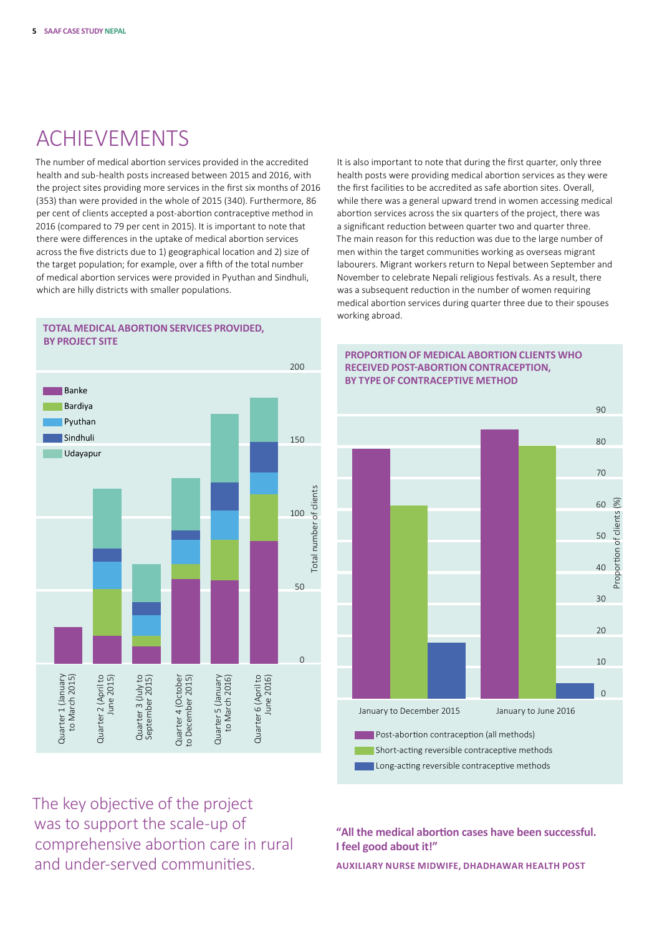# ACHIEVEMENTS

The number of medical abortion services provided in the accredited health and sub‑health posts increased between 2015 and 2016, with the project sites providing more services in the first six months of 2016 (353) than were provided in the whole of 2015 (340). Furthermore, 86 per cent of clients accepted a post-abortion contraceptive method in 2016 (compared to 79 per cent in 2015). It is important to note that there were differences in the uptake of medical abortion services across the five districts due to 1) geographical location and 2) size of the target population; for example, over a fifth of the total number of medical abortion services were provided in Pyuthan and Sindhuli, which are hilly districts with smaller populations.

It is also important to note that during the first quarter, only three health posts were providing medical abortion services as they were the first facilities to be accredited as safe abortion sites. Overall, while there was a general upward trend in women accessing medical abortion services across the six quarters of the project, there was a significant reduction between quarter two and quarter three. The main reason for this reduction was due to the large number of men within the target communities working as overseas migrant labourers. Migrant workers return to Nepal between September and November to celebrate Nepali religious festivals. As a result, there was a subsequent reduction in the number of women requiring medical abortion services during quarter three due to their spouses working abroad.

**PROPORTION OF MEDICAL ABORTION CLIENTS WHO RECEIVED POST-ABORTION CONTRACEPTION, BY TYPE OF CONTRACEPTIVE METHOD**



**TOTAL MEDICAL ABORTION SERVICES PROVIDED, BY PROJECT SITE**

### $9<sub>0</sub>$  $80$ 70 60  $(%)$ Proportion of clients (%) Proportion of clients 50 40 30  $20$ 10  $\Omega$ January to December 2015 January to June 2016 **Post-abortion contraception (all methods)**  Short-acting reversible contraceptive methods Long-acting reversible contraceptive methods

The key objective of the project was to support the scale-up of comprehensive abortion care in rural and under-served communities.

#### **"All the medical abortion cases have been successful. I feel good about it!"**

**AUXILIARY NURSE MIDWIFE, DHADHAWAR HEALTH POST**